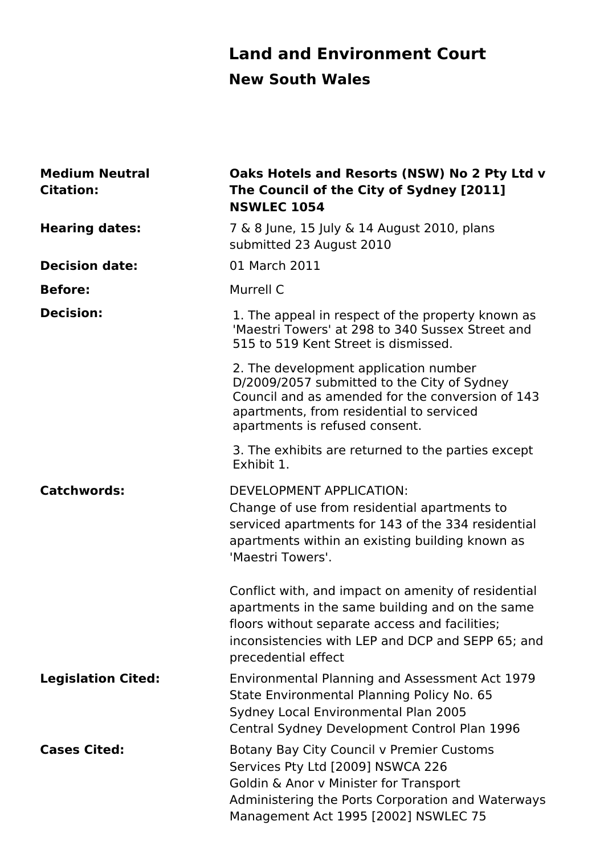### **Land and Environment Court New South Wales**

| <b>Medium Neutral</b><br><b>Citation:</b> | Oaks Hotels and Resorts (NSW) No 2 Pty Ltd v<br>The Council of the City of Sydney [2011]<br><b>NSWLEC 1054</b>                                                                                                                       |
|-------------------------------------------|--------------------------------------------------------------------------------------------------------------------------------------------------------------------------------------------------------------------------------------|
| <b>Hearing dates:</b>                     | 7 & 8 June, 15 July & 14 August 2010, plans<br>submitted 23 August 2010                                                                                                                                                              |
| <b>Decision date:</b>                     | 01 March 2011                                                                                                                                                                                                                        |
| <b>Before:</b>                            | Murrell C                                                                                                                                                                                                                            |
| <b>Decision:</b>                          | 1. The appeal in respect of the property known as<br>'Maestri Towers' at 298 to 340 Sussex Street and<br>515 to 519 Kent Street is dismissed.                                                                                        |
|                                           | 2. The development application number<br>D/2009/2057 submitted to the City of Sydney<br>Council and as amended for the conversion of 143<br>apartments, from residential to serviced<br>apartments is refused consent.               |
|                                           | 3. The exhibits are returned to the parties except<br>Exhibit 1.                                                                                                                                                                     |
| <b>Catchwords:</b>                        | <b>DEVELOPMENT APPLICATION:</b><br>Change of use from residential apartments to<br>serviced apartments for 143 of the 334 residential<br>apartments within an existing building known as<br>'Maestri Towers'.                        |
|                                           | Conflict with, and impact on amenity of residential<br>apartments in the same building and on the same<br>floors without separate access and facilities;<br>inconsistencies with LEP and DCP and SEPP 65; and<br>precedential effect |
| <b>Legislation Cited:</b>                 | Environmental Planning and Assessment Act 1979<br>State Environmental Planning Policy No. 65<br>Sydney Local Environmental Plan 2005<br>Central Sydney Development Control Plan 1996                                                 |
| <b>Cases Cited:</b>                       | Botany Bay City Council v Premier Customs<br>Services Pty Ltd [2009] NSWCA 226<br>Goldin & Anor v Minister for Transport<br>Administering the Ports Corporation and Waterways<br>Management Act 1995 [2002] NSWLEC 75                |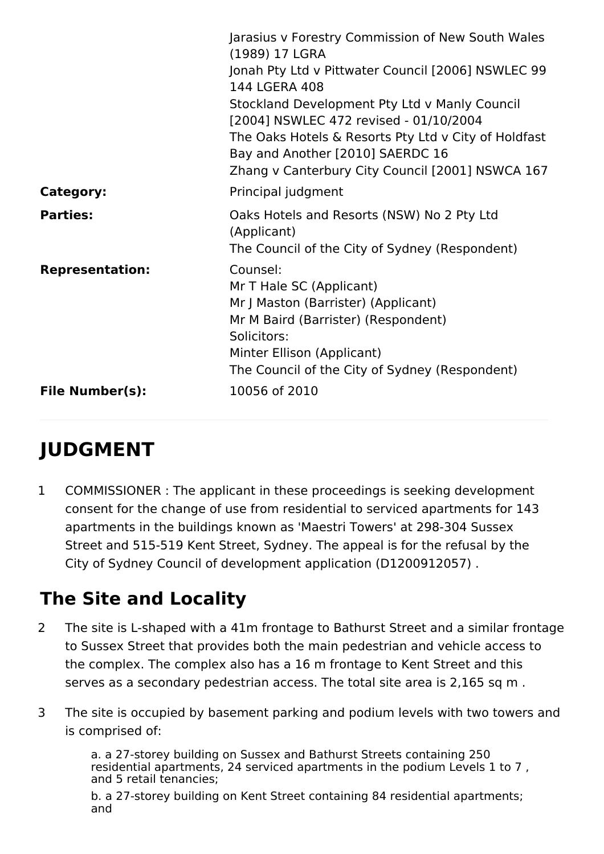|                        | Jarasius v Forestry Commission of New South Wales<br>(1989) 17 LGRA<br>Jonah Pty Ltd v Pittwater Council [2006] NSWLEC 99<br>144 LGERA 408<br>Stockland Development Pty Ltd v Manly Council<br>[2004] NSWLEC 472 revised - 01/10/2004<br>The Oaks Hotels & Resorts Pty Ltd v City of Holdfast<br>Bay and Another [2010] SAERDC 16<br>Zhang v Canterbury City Council [2001] NSWCA 167 |
|------------------------|---------------------------------------------------------------------------------------------------------------------------------------------------------------------------------------------------------------------------------------------------------------------------------------------------------------------------------------------------------------------------------------|
| <b>Category:</b>       | Principal judgment                                                                                                                                                                                                                                                                                                                                                                    |
| <b>Parties:</b>        | Oaks Hotels and Resorts (NSW) No 2 Pty Ltd<br>(Applicant)<br>The Council of the City of Sydney (Respondent)                                                                                                                                                                                                                                                                           |
| <b>Representation:</b> | Counsel:<br>Mr T Hale SC (Applicant)<br>Mr J Maston (Barrister) (Applicant)<br>Mr M Baird (Barrister) (Respondent)<br>Solicitors:<br>Minter Ellison (Applicant)<br>The Council of the City of Sydney (Respondent)                                                                                                                                                                     |
| <b>File Number(s):</b> | 10056 of 2010                                                                                                                                                                                                                                                                                                                                                                         |

## **JUDGMENT**

1 COMMISSIONER : The applicant in these proceedings is seeking development consent for the change of use from residential to serviced apartments for 143 apartments in the buildings known as 'Maestri Towers' at 298-304 Sussex Street and 515-519 Kent Street, Sydney. The appeal is for the refusal by the City of Sydney Council of development application (D1200912057) .

## **The Site and Locality**

- 2 The site is L-shaped with a 41m frontage to Bathurst Street and a similar frontage to Sussex Street that provides both the main pedestrian and vehicle access to the complex. The complex also has a 16 m frontage to Kent Street and this serves as a secondary pedestrian access. The total site area is 2,165 sq m .
- 3 The site is occupied by basement parking and podium levels with two towers and is comprised of:

a. a 27-storey building on Sussex and Bathurst Streets containing 250 residential apartments, 24 serviced apartments in the podium Levels 1 to 7 , and 5 retail tenancies;

b. a 27-storey building on Kent Street containing 84 residential apartments; and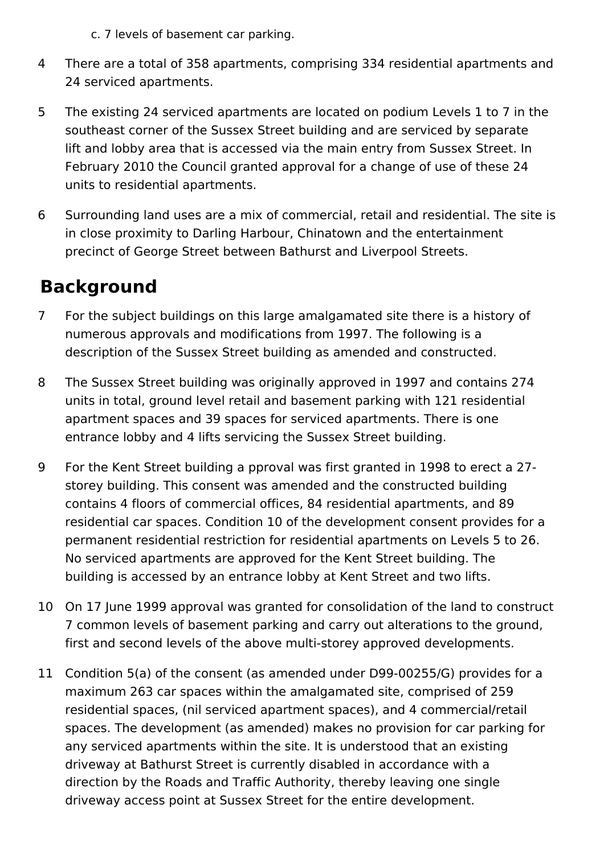- c. 7 levels of basement car parking.
- 4 There are a total of 358 apartments, comprising 334 residential apartments and 24 serviced apartments.
- 5 The existing 24 serviced apartments are located on podium Levels 1 to 7 in the southeast corner of the Sussex Street building and are serviced by separate lift and lobby area that is accessed via the main entry from Sussex Street. In February 2010 the Council granted approval for a change of use of these 24 units to residential apartments.
- 6 Surrounding land uses are a mix of commercial, retail and residential. The site is in close proximity to Darling Harbour, Chinatown and the entertainment precinct of George Street between Bathurst and Liverpool Streets.

### **Background**

- 7 For the subject buildings on this large amalgamated site there is a history of numerous approvals and modifications from 1997. The following is a description of the Sussex Street building as amended and constructed.
- 8 The Sussex Street building was originally approved in 1997 and contains 274 units in total, ground level retail and basement parking with 121 residential apartment spaces and 39 spaces for serviced apartments. There is one entrance lobby and 4 lifts servicing the Sussex Street building.
- 9 For the Kent Street building a pproval was first granted in 1998 to erect a 27 storey building. This consent was amended and the constructed building contains 4 floors of commercial offices, 84 residential apartments, and 89 residential car spaces. Condition 10 of the development consent provides for a permanent residential restriction for residential apartments on Levels 5 to 26. No serviced apartments are approved for the Kent Street building. The building is accessed by an entrance lobby at Kent Street and two lifts.
- 10 On 17 June 1999 approval was granted for consolidation of the land to construct 7 common levels of basement parking and carry out alterations to the ground, first and second levels of the above multi-storey approved developments.
- 11 Condition 5(a) of the consent (as amended under D99-00255/G) provides for a maximum 263 car spaces within the amalgamated site, comprised of 259 residential spaces, (nil serviced apartment spaces), and 4 commercial/retail spaces. The development (as amended) makes no provision for car parking for any serviced apartments within the site. It is understood that an existing driveway at Bathurst Street is currently disabled in accordance with a direction by the Roads and Traffic Authority, thereby leaving one single driveway access point at Sussex Street for the entire development.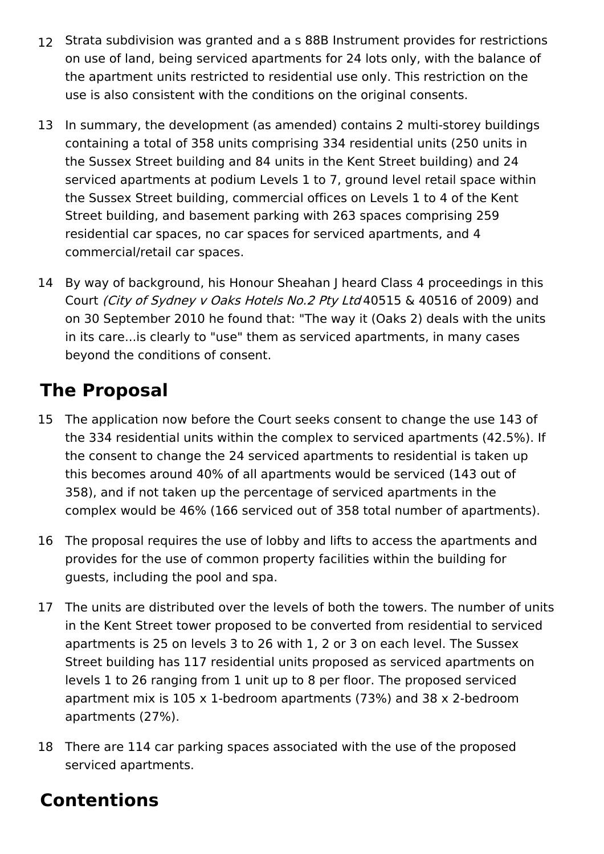- 12 Strata subdivision was granted and a s 88B Instrument provides for restrictions on use of land, being serviced apartments for 24 lots only, with the balance of the apartment units restricted to residential use only. This restriction on the use is also consistent with the conditions on the original consents.
- 13 In summary, the development (as amended) contains 2 multi-storey buildings containing a total of 358 units comprising 334 residential units (250 units in the Sussex Street building and 84 units in the Kent Street building) and 24 serviced apartments at podium Levels 1 to 7, ground level retail space within the Sussex Street building, commercial offices on Levels 1 to 4 of the Kent Street building, and basement parking with 263 spaces comprising 259 residential car spaces, no car spaces for serviced apartments, and 4 commercial/retail car spaces.
- 14 By way of background, his Honour Sheahan J heard Class 4 proceedings in this Court (City of Sydney <sup>v</sup> Oaks Hotels No.2 Pty Ltd 40515 & 40516 of 2009) and on 30 September 2010 he found that: "The way it (Oaks 2) deals with the units in its care...is clearly to "use" them as serviced apartments, in many cases beyond the conditions of consent.

## **The Proposal**

- 15 The application now before the Court seeks consent to change the use 143 of the 334 residential units within the complex to serviced apartments (42.5%). If the consent to change the 24 serviced apartments to residential is taken up this becomes around 40% of all apartments would be serviced (143 out of 358), and if not taken up the percentage of serviced apartments in the complex would be 46% (166 serviced out of 358 total number of apartments).
- 16 The proposal requires the use of lobby and lifts to access the apartments and provides for the use of common property facilities within the building for guests, including the pool and spa.
- 17 The units are distributed over the levels of both the towers. The number of units in the Kent Street tower proposed to be converted from residential to serviced apartments is 25 on levels 3 to 26 with 1, 2 or 3 on each level. The Sussex Street building has 117 residential units proposed as serviced apartments on levels 1 to 26 ranging from 1 unit up to 8 per floor. The proposed serviced apartment mix is 105 x 1-bedroom apartments (73%) and 38 x 2-bedroom apartments (27%).
- 18 There are 114 car parking spaces associated with the use of the proposed serviced apartments.

### **Contentions**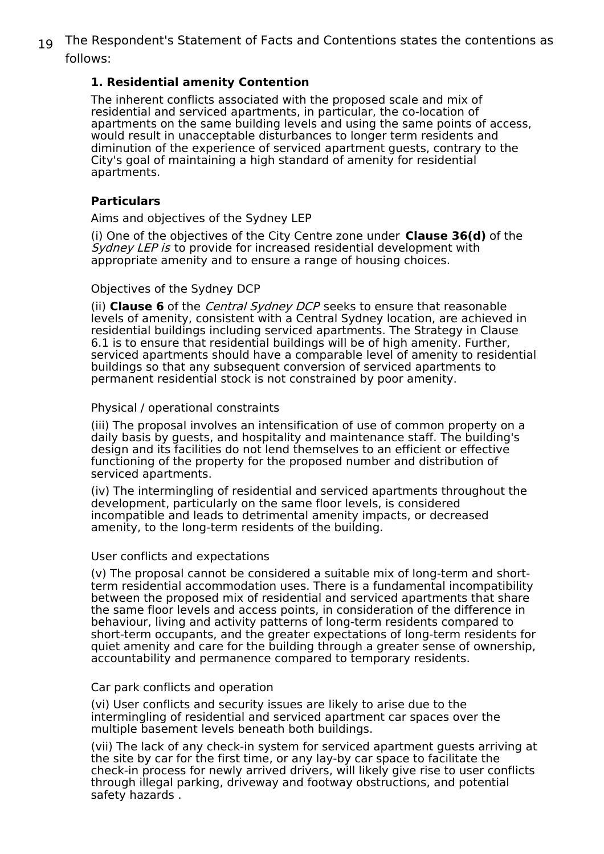19 The Respondent's Statement of Facts and Contentions states the contentions as follows:

#### **1. Residential amenity Contention**

The inherent conflicts associated with the proposed scale and mix of residential and serviced apartments, in particular, the co-location of apartments on the same building levels and using the same points of access, would result in unacceptable disturbances to longer term residents and diminution of the experience of serviced apartment guests, contrary to the City's goal of maintaining a high standard of amenity for residential apartments.

#### **Particulars**

Aims and objectives of the Sydney LEP

(i) One of the objectives of the City Centre zone under **Clause 36(d)** of the Sydney LEP is to provide for increased residential development with appropriate amenity and to ensure a range of housing choices.

#### Objectives of the Sydney DCP

(ii) **Clause 6** of the Central Sydney DCP seeks to ensure that reasonable levels of amenity, consistent with a Central Sydney location, are achieved in residential buildings including serviced apartments. The Strategy in Clause 6.1 is to ensure that residential buildings will be of high amenity. Further, serviced apartments should have a comparable level of amenity to residential buildings so that any subsequent conversion of serviced apartments to permanent residential stock is not constrained by poor amenity.

#### Physical / operational constraints

(iii) The proposal involves an intensification of use of common property on a daily basis by guests, and hospitality and maintenance staff. The building's design and its facilities do not lend themselves to an efficient or effective functioning of the property for the proposed number and distribution of serviced apartments.

(iv) The intermingling of residential and serviced apartments throughout the development, particularly on the same floor levels, is considered incompatible and leads to detrimental amenity impacts, or decreased amenity, to the long-term residents of the building.

#### User conflicts and expectations

(v) The proposal cannot be considered a suitable mix of long-term and shortterm residential accommodation uses. There is a fundamental incompatibility between the proposed mix of residential and serviced apartments that share the same floor levels and access points, in consideration of the difference in behaviour, living and activity patterns of long-term residents compared to short-term occupants, and the greater expectations of long-term residents for quiet amenity and care for the building through a greater sense of ownership, accountability and permanence compared to temporary residents.

#### Car park conflicts and operation

(vi) User conflicts and security issues are likely to arise due to the intermingling of residential and serviced apartment car spaces over the multiple basement levels beneath both buildings.

(vii) The lack of any check-in system for serviced apartment guests arriving at the site by car for the first time, or any lay-by car space to facilitate the check-in process for newly arrived drivers, will likely give rise to user conflicts through illegal parking, driveway and footway obstructions, and potential safety hazards .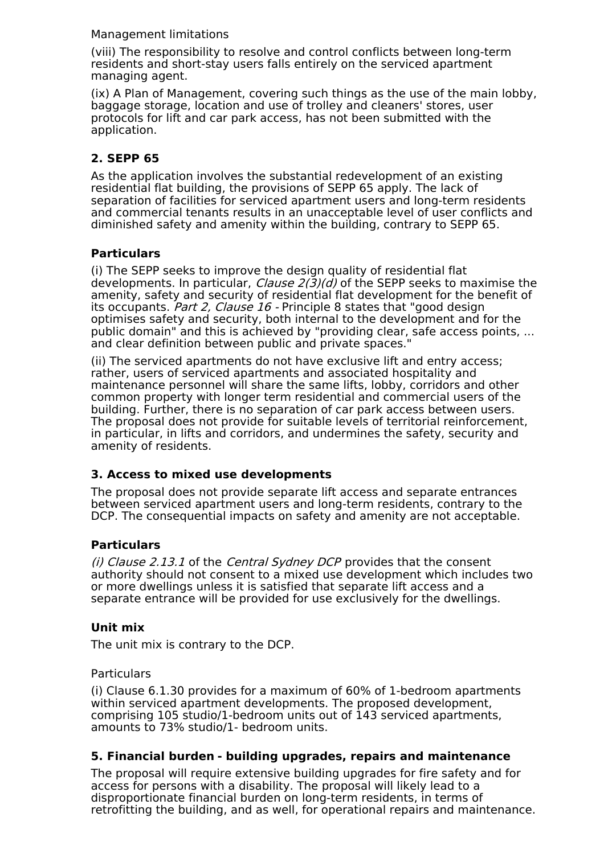#### Management limitations

(viii) The responsibility to resolve and control conflicts between long-term residents and short-stay users falls entirely on the serviced apartment managing agent.

(ix) A Plan of Management, covering such things as the use of the main lobby, baggage storage, location and use of trolley and cleaners' stores, user protocols for lift and car park access, has not been submitted with the application.

#### **2. SEPP 65**

As the application involves the substantial redevelopment of an existing residential flat building, the provisions of SEPP 65 apply. The lack of separation of facilities for serviced apartment users and long-term residents and commercial tenants results in an unacceptable level of user conflicts and diminished safety and amenity within the building, contrary to SEPP 65.

#### **Particulars**

(i) The SEPP seeks to improve the design quality of residential flat developments. In particular, *Clause 2(3)(d)* of the SEPP seeks to maximise the amenity, safety and security of residential flat development for the benefit of its occupants. Part 2, Clause 16 - Principle 8 states that "good design optimises safety and security, both internal to the development and for the public domain" and this is achieved by "providing clear, safe access points, ... and clear definition between public and private spaces."

(ii) The serviced apartments do not have exclusive lift and entry access; rather, users of serviced apartments and associated hospitality and maintenance personnel will share the same lifts, lobby, corridors and other common property with longer term residential and commercial users of the building. Further, there is no separation of car park access between users. The proposal does not provide for suitable levels of territorial reinforcement, in particular, in lifts and corridors, and undermines the safety, security and amenity of residents.

#### **3. Access to mixed use developments**

The proposal does not provide separate lift access and separate entrances between serviced apartment users and long-term residents, contrary to the DCP. The consequential impacts on safety and amenity are not acceptable.

#### **Particulars**

(i) Clause 2.13.1 of the Central Sydney DCP provides that the consent authority should not consent to a mixed use development which includes two or more dwellings unless it is satisfied that separate lift access and a separate entrance will be provided for use exclusively for the dwellings.

#### **Unit mix**

The unit mix is contrary to the DCP.

#### **Particulars**

(i) Clause 6.1.30 provides for a maximum of 60% of 1-bedroom apartments within serviced apartment developments. The proposed development, comprising 105 studio/1-bedroom units out of 143 serviced apartments, amounts to 73% studio/1- bedroom units.

#### **5. Financial burden - building upgrades, repairs and maintenance**

The proposal will require extensive building upgrades for fire safety and for access for persons with a disability. The proposal will likely lead to a disproportionate financial burden on long-term residents, in terms of retrofitting the building, and as well, for operational repairs and maintenance.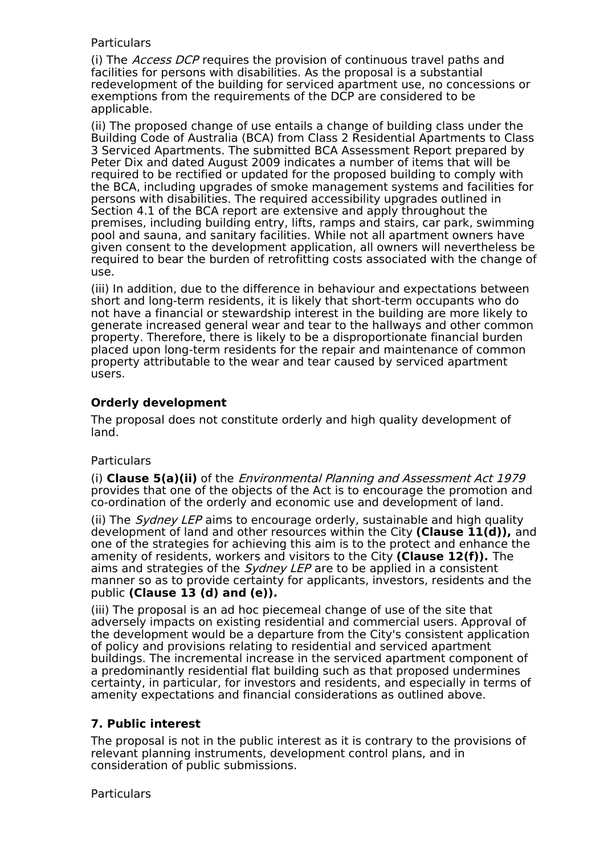#### **Particulars**

(i) The Access DCP requires the provision of continuous travel paths and facilities for persons with disabilities. As the proposal is a substantial redevelopment of the building for serviced apartment use, no concessions or exemptions from the requirements of the DCP are considered to be applicable.

(ii) The proposed change of use entails a change of building class under the Building Code of Australia (BCA) from Class 2 Residential Apartments to Class 3 Serviced Apartments. The submitted BCA Assessment Report prepared by Peter Dix and dated August 2009 indicates a number of items that will be required to be rectified or updated for the proposed building to comply with the BCA, including upgrades of smoke management systems and facilities for persons with disabilities. The required accessibility upgrades outlined in Section 4.1 of the BCA report are extensive and apply throughout the premises, including building entry, lifts, ramps and stairs, car park, swimming pool and sauna, and sanitary facilities. While not all apartment owners have given consent to the development application, all owners will nevertheless be required to bear the burden of retrofitting costs associated with the change of use.

(iii) In addition, due to the difference in behaviour and expectations between short and long-term residents, it is likely that short-term occupants who do not have a financial or stewardship interest in the building are more likely to generate increased general wear and tear to the hallways and other common property. Therefore, there is likely to be a disproportionate financial burden placed upon long-term residents for the repair and maintenance of common property attributable to the wear and tear caused by serviced apartment users.

#### **Orderly development**

The proposal does not constitute orderly and high quality development of land.

#### Particulars

(i) **Clause 5(a)(ii)** of the Environmental Planning and Assessment Act 1979 provides that one of the objects of the Act is to encourage the promotion and co-ordination of the orderly and economic use and development of land.

(ii) The *Sydney LEP* aims to encourage orderly, sustainable and high quality development of land and other resources within the City **(Clause 11(d)),** and one of the strategies for achieving this aim is to the protect and enhance the amenity of residents, workers and visitors to the City **(Clause 12(f)).** The aims and strategies of the *Sydney LEP* are to be applied in a consistent manner so as to provide certainty for applicants, investors, residents and the public **(Clause 13 (d) and (e)).**

(iii) The proposal is an ad hoc piecemeal change of use of the site that adversely impacts on existing residential and commercial users. Approval of the development would be a departure from the City's consistent application of policy and provisions relating to residential and serviced apartment buildings. The incremental increase in the serviced apartment component of a predominantly residential flat building such as that proposed undermines certainty, in particular, for investors and residents, and especially in terms of amenity expectations and financial considerations as outlined above.

#### **7. Public interest**

The proposal is not in the public interest as it is contrary to the provisions of relevant planning instruments, development control plans, and in consideration of public submissions.

**Particulars**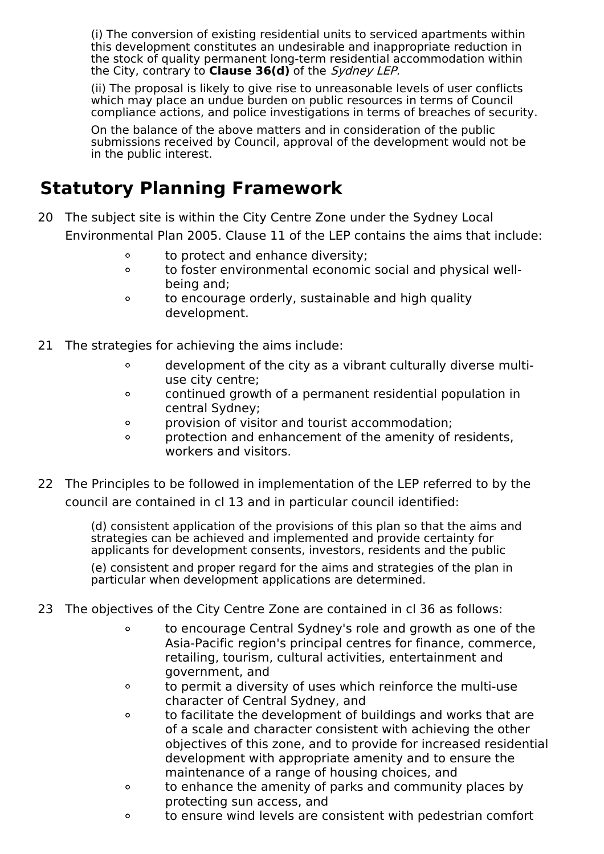(i) The conversion of existing residential units to serviced apartments within this development constitutes an undesirable and inappropriate reduction in the stock of quality permanent long-term residential accommodation within the City, contrary to **Clause 36(d)** of the Sydney LEP.

(ii) The proposal is likely to give rise to unreasonable levels of user conflicts which may place an undue burden on public resources in terms of Council compliance actions, and police investigations in terms of breaches of security.

On the balance of the above matters and in consideration of the public submissions received by Council, approval of the development would not be in the public interest.

### **Statutory Planning Framework**

- 20 The subject site is within the City Centre Zone under the Sydney Local Environmental Plan 2005. Clause 11 of the LEP contains the aims that include:
	- $\circ$ to protect and enhance diversity;
	- to foster environmental economic social and physical well- $\Omega$ being and;
	- to encourage orderly, sustainable and high quality  $\circ$ development.
- 21 The strategies for achieving the aims include:
	- development of the city as a vibrant culturally diverse multi- $\circ$ use city centre;
	- continued growth of a permanent residential population in  $\circ$ central Sydney;
	- provision of visitor and tourist accommodation;  $\circ$
	- protection and enhancement of the amenity of residents,  $\Omega$ workers and visitors.
- 22 The Principles to be followed in implementation of the LEP referred to by the council are contained in cl 13 and in particular council identified:

(d) consistent application of the provisions of this plan so that the aims and strategies can be achieved and implemented and provide certainty for applicants for development consents, investors, residents and the public

(e) consistent and proper regard for the aims and strategies of the plan in particular when development applications are determined.

- 23 The objectives of the City Centre Zone are contained in cl 36 as follows:
	- $\circ$ to encourage Central Sydney's role and growth as one of the Asia-Pacific region's principal centres for finance, commerce, retailing, tourism, cultural activities, entertainment and government, and
	- to permit a diversity of uses which reinforce the multi-use  $\circ$ character of Central Sydney, and
	- to facilitate the development of buildings and works that are  $\circ$ of a scale and character consistent with achieving the other objectives of this zone, and to provide for increased residential development with appropriate amenity and to ensure the maintenance of a range of housing choices, and
	- to enhance the amenity of parks and community places by  $\Omega$ protecting sun access, and
	- to ensure wind levels are consistent with pedestrian comfort $\circ$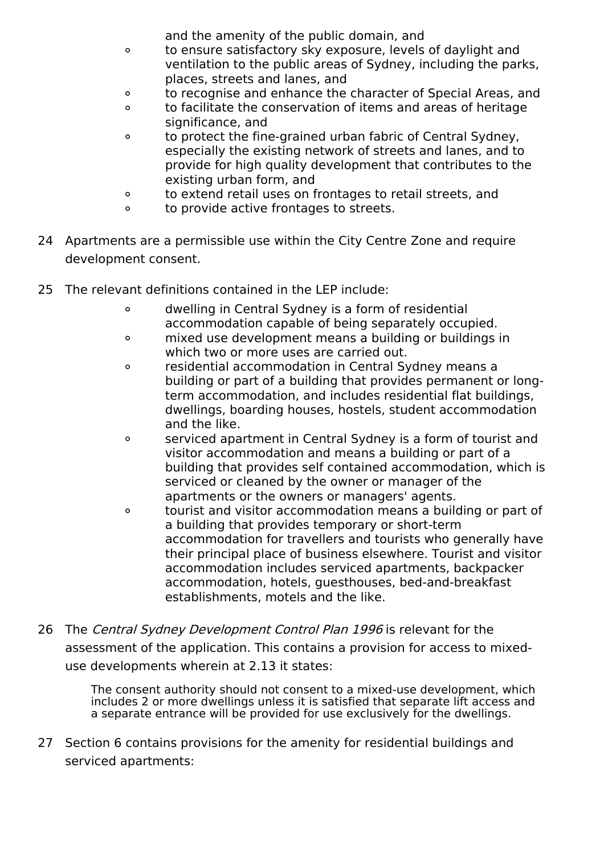and the amenity of the public domain, and

- to ensure satisfactory sky exposure, levels of daylight and  $\circ$ ventilation to the public areas of Sydney, including the parks, places, streets and lanes, and
- to recognise and enhance the character of Special Areas, and  $\circ$
- to facilitate the conservation of items and areas of heritage  $\circ$ significance, and
- to protect the fine-grained urban fabric of Central Sydney,  $\circ$ especially the existing network of streets and lanes, and to provide for high quality development that contributes to the existing urban form, and
- to extend retail uses on frontages to retail streets, and  $\circ$
- $\circ$ to provide active frontages to streets.
- 24 Apartments are a permissible use within the City Centre Zone and require development consent.
- 25 The relevant definitions contained in the LEP include:
	- dwelling in Central Sydney is a form of residential  $\circ$ accommodation capable of being separately occupied.
	- mixed use development means a building or buildings in  $\circ$ which two or more uses are carried out.
	- residential accommodation in Central Sydney means a  $\circ$ building or part of a building that provides permanent or longterm accommodation, and includes residential flat buildings, dwellings, boarding houses, hostels, student accommodation and the like.
	- serviced apartment in Central Sydney is a form of tourist and  $\circ$ visitor accommodation and means a building or part of a building that provides self contained accommodation, which is serviced or cleaned by the owner or manager of the apartments or the owners or managers' agents.
	- tourist and visitor accommodation means a building or part of  $\circ$ a building that provides temporary or short-term accommodation for travellers and tourists who generally have their principal place of business elsewhere. Tourist and visitor accommodation includes serviced apartments, backpacker accommodation, hotels, guesthouses, bed-and-breakfast establishments, motels and the like.
- 26 The Central Sydney Development Control Plan 1996 is relevant for the assessment of the application. This contains a provision for access to mixeduse developments wherein at 2.13 it states:

The consent authority should not consent to a mixed-use development, which includes 2 or more dwellings unless it is satisfied that separate lift access and a separate entrance will be provided for use exclusively for the dwellings.

27 Section 6 contains provisions for the amenity for residential buildings and serviced apartments: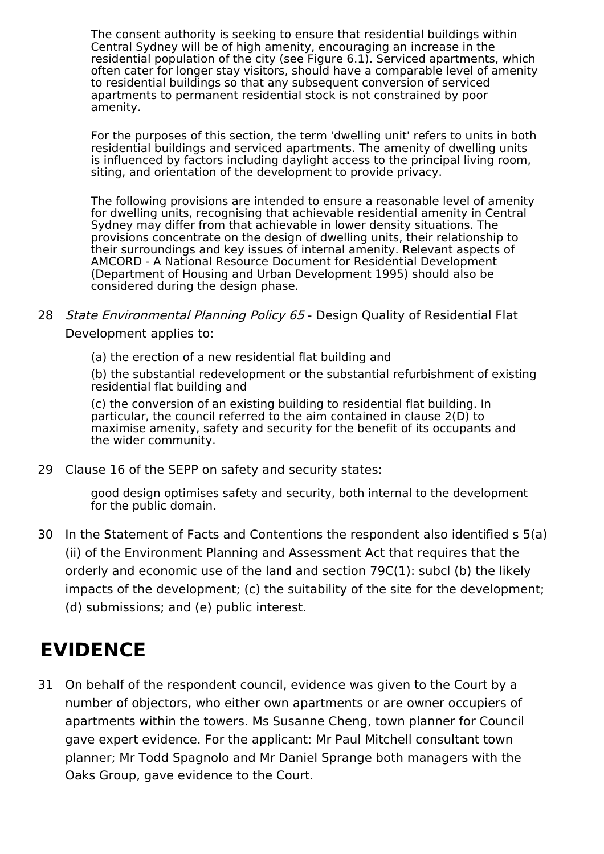The consent authority is seeking to ensure that residential buildings within Central Sydney will be of high amenity, encouraging an increase in the residential population of the city (see Figure 6.1). Serviced apartments, which often cater for longer stay visitors, should have a comparable level of amenity to residential buildings so that any subsequent conversion of serviced apartments to permanent residential stock is not constrained by poor amenity.

For the purposes of this section, the term 'dwelling unit' refers to units in both residential buildings and serviced apartments. The amenity of dwelling units is influenced by factors including daylight access to the principal living room, siting, and orientation of the development to provide privacy.

The following provisions are intended to ensure a reasonable level of amenity for dwelling units, recognising that achievable residential amenity in Central Sydney may differ from that achievable in lower density situations. The provisions concentrate on the design of dwelling units, their relationship to their surroundings and key issues of internal amenity. Relevant aspects of AMCORD - A National Resource Document for Residential Development (Department of Housing and Urban Development 1995) should also be considered during the design phase.

- 28 *State Environmental Planning Policy 65* Design Quality of Residential Flat Development applies to:
	- (a) the erection of a new residential flat building and

(b) the substantial redevelopment or the substantial refurbishment of existing residential flat building and

(c) the conversion of an existing building to residential flat building. In particular, the council referred to the aim contained in clause 2(D) to maximise amenity, safety and security for the benefit of its occupants and the wider community.

29 Clause 16 of the SEPP on safety and security states:

good design optimises safety and security, both internal to the development for the public domain.

30 In the Statement of Facts and Contentions the respondent also identified s 5(a) (ii) of the Environment Planning and Assessment Act that requires that the orderly and economic use of the land and section 79C(1): subcl (b) the likely impacts of the development; (c) the suitability of the site for the development; (d) submissions; and (e) public interest.

## **EVIDENCE**

31 On behalf of the respondent council, evidence was given to the Court by a number of objectors, who either own apartments or are owner occupiers of apartments within the towers. Ms Susanne Cheng, town planner for Council gave expert evidence. For the applicant: Mr Paul Mitchell consultant town planner; Mr Todd Spagnolo and Mr Daniel Sprange both managers with the Oaks Group, gave evidence to the Court.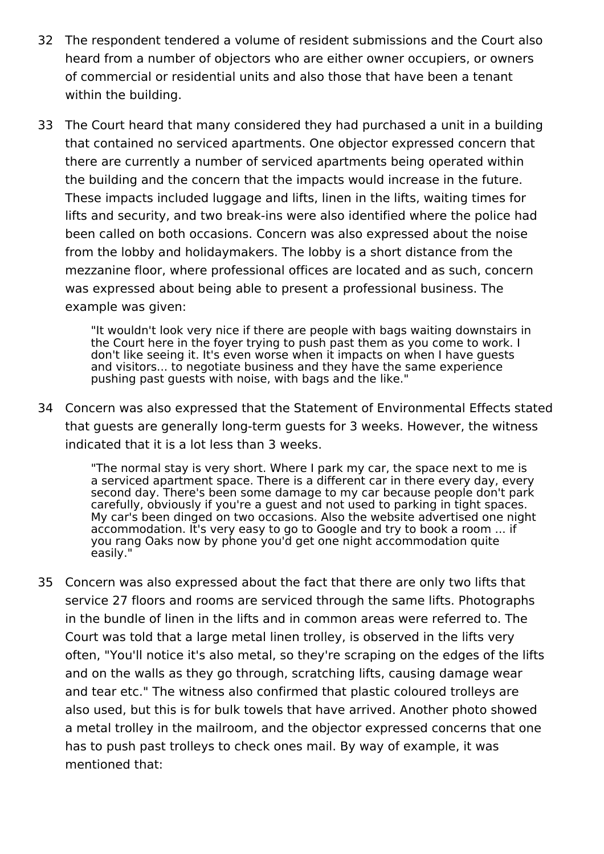- 32 The respondent tendered a volume of resident submissions and the Court also heard from a number of objectors who are either owner occupiers, or owners of commercial or residential units and also those that have been a tenant within the building.
- 33 The Court heard that many considered they had purchased a unit in a building that contained no serviced apartments. One objector expressed concern that there are currently a number of serviced apartments being operated within the building and the concern that the impacts would increase in the future. These impacts included luggage and lifts, linen in the lifts, waiting times for lifts and security, and two break-ins were also identified where the police had been called on both occasions. Concern was also expressed about the noise from the lobby and holidaymakers. The lobby is a short distance from the mezzanine floor, where professional offices are located and as such, concern was expressed about being able to present a professional business. The example was given:

"It wouldn't look very nice if there are people with bags waiting downstairs in the Court here in the foyer trying to push past them as you come to work. I don't like seeing it. It's even worse when it impacts on when I have guests and visitors... to negotiate business and they have the same experience pushing past guests with noise, with bags and the like."

34 Concern was also expressed that the Statement of Environmental Effects stated that guests are generally long-term guests for 3 weeks. However, the witness indicated that it is a lot less than 3 weeks.

"The normal stay is very short. Where I park my car, the space next to me is a serviced apartment space. There is a different car in there every day, every second day. There's been some damage to my car because people don't park carefully, obviously if you're a guest and not used to parking in tight spaces. My car's been dinged on two occasions. Also the website advertised one night accommodation. It's very easy to go to Google and try to book a room ... if you rang Oaks now by phone you'd get one night accommodation quite easily."

35 Concern was also expressed about the fact that there are only two lifts that service 27 floors and rooms are serviced through the same lifts. Photographs in the bundle of linen in the lifts and in common areas were referred to. The Court was told that a large metal linen trolley, is observed in the lifts very often, "You'll notice it's also metal, so they're scraping on the edges of the lifts and on the walls as they go through, scratching lifts, causing damage wear and tear etc." The witness also confirmed that plastic coloured trolleys are also used, but this is for bulk towels that have arrived. Another photo showed a metal trolley in the mailroom, and the objector expressed concerns that one has to push past trolleys to check ones mail. By way of example, it was mentioned that: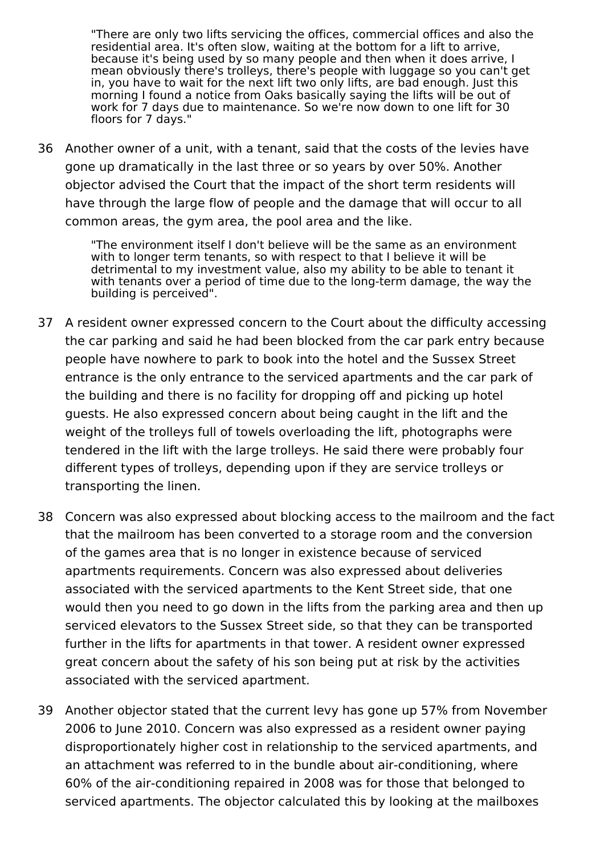"There are only two lifts servicing the offices, commercial offices and also the residential area. It's often slow, waiting at the bottom for a lift to arrive, because it's being used by so many people and then when it does arrive, I mean obviously there's trolleys, there's people with luggage so you can't get in, you have to wait for the next lift two only lifts, are bad enough. Just this morning I found a notice from Oaks basically saying the lifts will be out of work for 7 days due to maintenance. So we're now down to one lift for 30 floors for 7 days."

36 Another owner of a unit, with a tenant, said that the costs of the levies have gone up dramatically in the last three or so years by over 50%. Another objector advised the Court that the impact of the short term residents will have through the large flow of people and the damage that will occur to all common areas, the gym area, the pool area and the like.

> "The environment itself I don't believe will be the same as an environment with to longer term tenants, so with respect to that I believe it will be detrimental to my investment value, also my ability to be able to tenant it with tenants over a period of time due to the long-term damage, the way the building is perceived".

- 37 A resident owner expressed concern to the Court about the difficulty accessing the car parking and said he had been blocked from the car park entry because people have nowhere to park to book into the hotel and the Sussex Street entrance is the only entrance to the serviced apartments and the car park of the building and there is no facility for dropping off and picking up hotel guests. He also expressed concern about being caught in the lift and the weight of the trolleys full of towels overloading the lift, photographs were tendered in the lift with the large trolleys. He said there were probably four different types of trolleys, depending upon if they are service trolleys or transporting the linen.
- 38 Concern was also expressed about blocking access to the mailroom and the fact that the mailroom has been converted to a storage room and the conversion of the games area that is no longer in existence because of serviced apartments requirements. Concern was also expressed about deliveries associated with the serviced apartments to the Kent Street side, that one would then you need to go down in the lifts from the parking area and then up serviced elevators to the Sussex Street side, so that they can be transported further in the lifts for apartments in that tower. A resident owner expressed great concern about the safety of his son being put at risk by the activities associated with the serviced apartment.
- 39 Another objector stated that the current levy has gone up 57% from November 2006 to June 2010. Concern was also expressed as a resident owner paying disproportionately higher cost in relationship to the serviced apartments, and an attachment was referred to in the bundle about air-conditioning, where 60% of the air-conditioning repaired in 2008 was for those that belonged to serviced apartments. The objector calculated this by looking at the mailboxes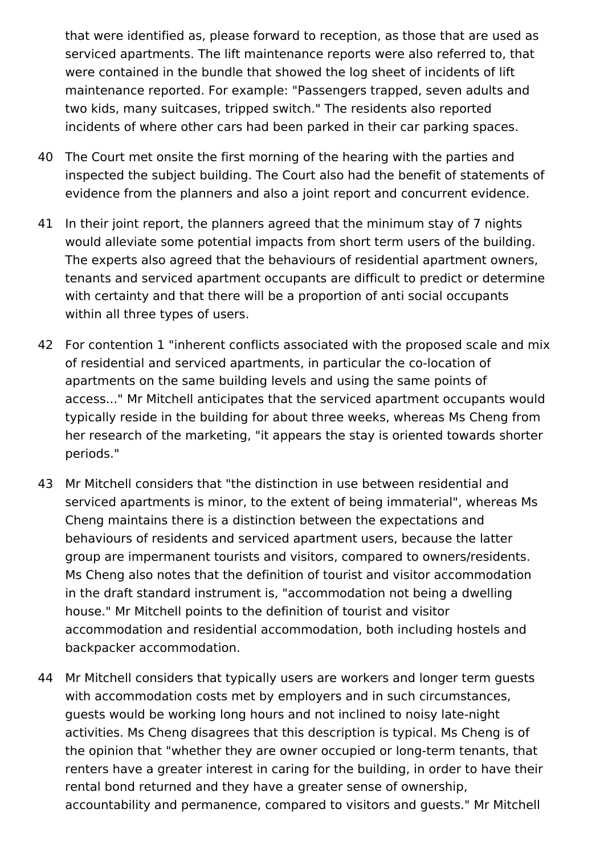that were identified as, please forward to reception, as those that are used as serviced apartments. The lift maintenance reports were also referred to, that were contained in the bundle that showed the log sheet of incidents of lift maintenance reported. For example: "Passengers trapped, seven adults and two kids, many suitcases, tripped switch." The residents also reported incidents of where other cars had been parked in their car parking spaces.

- 40 The Court met onsite the first morning of the hearing with the parties and inspected the subject building. The Court also had the benefit of statements of evidence from the planners and also a joint report and concurrent evidence.
- 41 In their joint report, the planners agreed that the minimum stay of 7 nights would alleviate some potential impacts from short term users of the building. The experts also agreed that the behaviours of residential apartment owners, tenants and serviced apartment occupants are difficult to predict or determine with certainty and that there will be a proportion of anti social occupants within all three types of users.
- 42 For contention 1 "inherent conflicts associated with the proposed scale and mix of residential and serviced apartments, in particular the co-location of apartments on the same building levels and using the same points of access..." Mr Mitchell anticipates that the serviced apartment occupants would typically reside in the building for about three weeks, whereas Ms Cheng from her research of the marketing, "it appears the stay is oriented towards shorter periods."
- 43 Mr Mitchell considers that "the distinction in use between residential and serviced apartments is minor, to the extent of being immaterial", whereas Ms Cheng maintains there is a distinction between the expectations and behaviours of residents and serviced apartment users, because the latter group are impermanent tourists and visitors, compared to owners/residents. Ms Cheng also notes that the definition of tourist and visitor accommodation in the draft standard instrument is, "accommodation not being a dwelling house." Mr Mitchell points to the definition of tourist and visitor accommodation and residential accommodation, both including hostels and backpacker accommodation.
- 44 Mr Mitchell considers that typically users are workers and longer term guests with accommodation costs met by employers and in such circumstances, guests would be working long hours and not inclined to noisy late-night activities. Ms Cheng disagrees that this description is typical. Ms Cheng is of the opinion that "whether they are owner occupied or long-term tenants, that renters have a greater interest in caring for the building, in order to have their rental bond returned and they have a greater sense of ownership, accountability and permanence, compared to visitors and guests." Mr Mitchell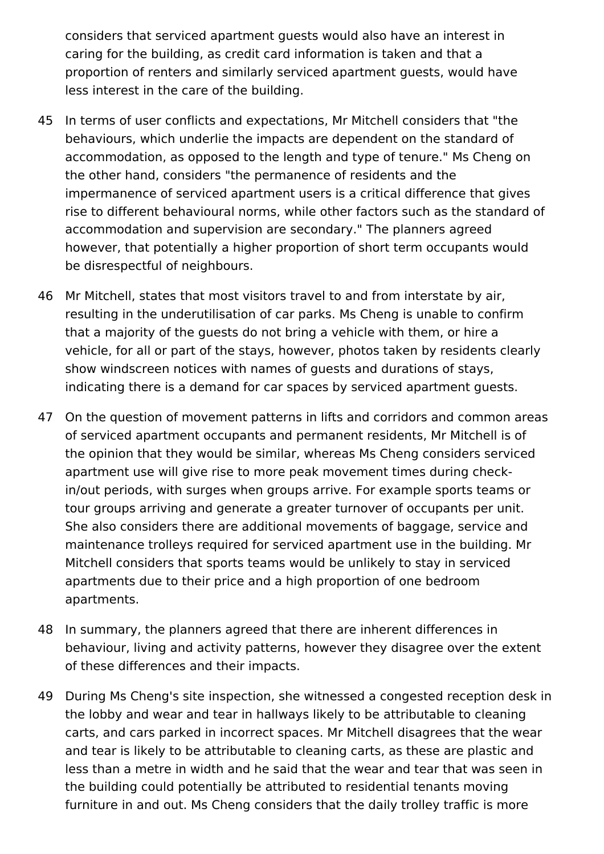considers that serviced apartment guests would also have an interest in caring for the building, as credit card information is taken and that a proportion of renters and similarly serviced apartment guests, would have less interest in the care of the building.

- 45 In terms of user conflicts and expectations, Mr Mitchell considers that "the behaviours, which underlie the impacts are dependent on the standard of accommodation, as opposed to the length and type of tenure." Ms Cheng on the other hand, considers "the permanence of residents and the impermanence of serviced apartment users is a critical difference that gives rise to different behavioural norms, while other factors such as the standard of accommodation and supervision are secondary." The planners agreed however, that potentially a higher proportion of short term occupants would be disrespectful of neighbours.
- 46 Mr Mitchell, states that most visitors travel to and from interstate by air, resulting in the underutilisation of car parks. Ms Cheng is unable to confirm that a majority of the guests do not bring a vehicle with them, or hire a vehicle, for all or part of the stays, however, photos taken by residents clearly show windscreen notices with names of guests and durations of stays, indicating there is a demand for car spaces by serviced apartment guests.
- 47 On the question of movement patterns in lifts and corridors and common areas of serviced apartment occupants and permanent residents, Mr Mitchell is of the opinion that they would be similar, whereas Ms Cheng considers serviced apartment use will give rise to more peak movement times during checkin/out periods, with surges when groups arrive. For example sports teams or tour groups arriving and generate a greater turnover of occupants per unit. She also considers there are additional movements of baggage, service and maintenance trolleys required for serviced apartment use in the building. Mr Mitchell considers that sports teams would be unlikely to stay in serviced apartments due to their price and a high proportion of one bedroom apartments.
- 48 In summary, the planners agreed that there are inherent differences in behaviour, living and activity patterns, however they disagree over the extent of these differences and their impacts.
- 49 During Ms Cheng's site inspection, she witnessed a congested reception desk in the lobby and wear and tear in hallways likely to be attributable to cleaning carts, and cars parked in incorrect spaces. Mr Mitchell disagrees that the wear and tear is likely to be attributable to cleaning carts, as these are plastic and less than a metre in width and he said that the wear and tear that was seen in the building could potentially be attributed to residential tenants moving furniture in and out. Ms Cheng considers that the daily trolley traffic is more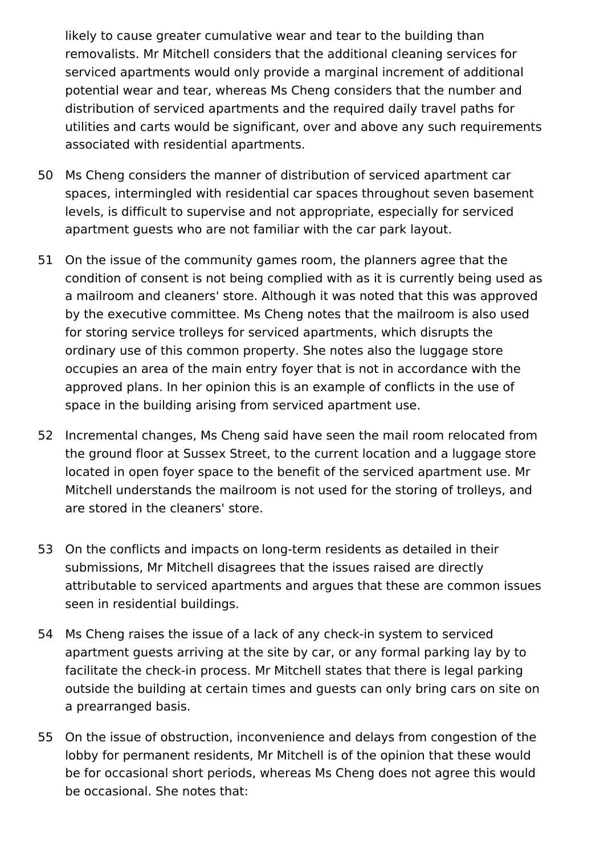likely to cause greater cumulative wear and tear to the building than removalists. Mr Mitchell considers that the additional cleaning services for serviced apartments would only provide a marginal increment of additional potential wear and tear, whereas Ms Cheng considers that the number and distribution of serviced apartments and the required daily travel paths for utilities and carts would be significant, over and above any such requirements associated with residential apartments.

- 50 Ms Cheng considers the manner of distribution of serviced apartment car spaces, intermingled with residential car spaces throughout seven basement levels, is difficult to supervise and not appropriate, especially for serviced apartment guests who are not familiar with the car park layout.
- 51 On the issue of the community games room, the planners agree that the condition of consent is not being complied with as it is currently being used as a mailroom and cleaners' store. Although it was noted that this was approved by the executive committee. Ms Cheng notes that the mailroom is also used for storing service trolleys for serviced apartments, which disrupts the ordinary use of this common property. She notes also the luggage store occupies an area of the main entry foyer that is not in accordance with the approved plans. In her opinion this is an example of conflicts in the use of space in the building arising from serviced apartment use.
- 52 Incremental changes, Ms Cheng said have seen the mail room relocated from the ground floor at Sussex Street, to the current location and a luggage store located in open foyer space to the benefit of the serviced apartment use. Mr Mitchell understands the mailroom is not used for the storing of trolleys, and are stored in the cleaners' store.
- 53 On the conflicts and impacts on long-term residents as detailed in their submissions, Mr Mitchell disagrees that the issues raised are directly attributable to serviced apartments and argues that these are common issues seen in residential buildings.
- 54 Ms Cheng raises the issue of a lack of any check-in system to serviced apartment guests arriving at the site by car, or any formal parking lay by to facilitate the check-in process. Mr Mitchell states that there is legal parking outside the building at certain times and guests can only bring cars on site on a prearranged basis.
- 55 On the issue of obstruction, inconvenience and delays from congestion of the lobby for permanent residents, Mr Mitchell is of the opinion that these would be for occasional short periods, whereas Ms Cheng does not agree this would be occasional. She notes that: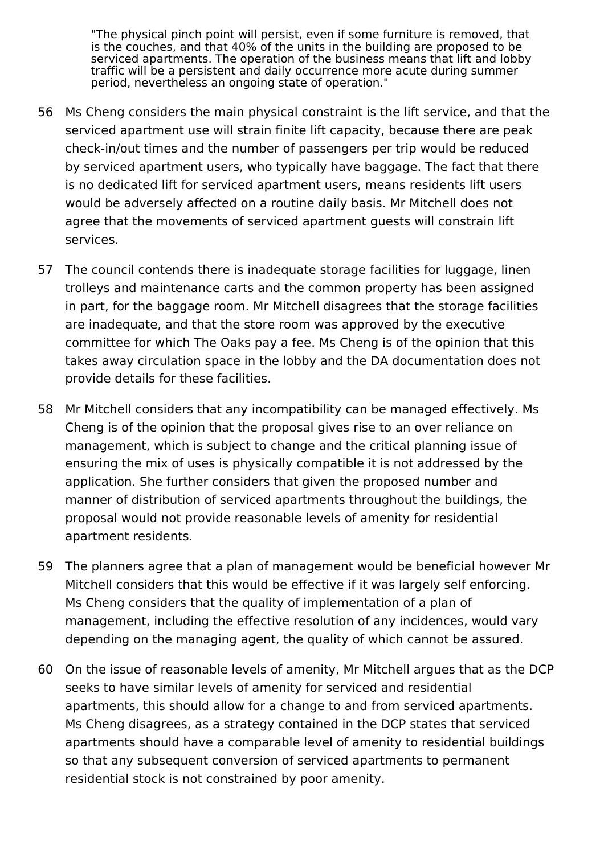"The physical pinch point will persist, even if some furniture is removed, that is the couches, and that 40% of the units in the building are proposed to be serviced apartments. The operation of the business means that lift and lobby traffic will be a persistent and daily occurrence more acute during summer period, nevertheless an ongoing state of operation."

- 56 Ms Cheng considers the main physical constraint is the lift service, and that the serviced apartment use will strain finite lift capacity, because there are peak check-in/out times and the number of passengers per trip would be reduced by serviced apartment users, who typically have baggage. The fact that there is no dedicated lift for serviced apartment users, means residents lift users would be adversely affected on a routine daily basis. Mr Mitchell does not agree that the movements of serviced apartment guests will constrain lift services.
- 57 The council contends there is inadequate storage facilities for luggage, linen trolleys and maintenance carts and the common property has been assigned in part, for the baggage room. Mr Mitchell disagrees that the storage facilities are inadequate, and that the store room was approved by the executive committee for which The Oaks pay a fee. Ms Cheng is of the opinion that this takes away circulation space in the lobby and the DA documentation does not provide details for these facilities.
- 58 Mr Mitchell considers that any incompatibility can be managed effectively. Ms Cheng is of the opinion that the proposal gives rise to an over reliance on management, which is subject to change and the critical planning issue of ensuring the mix of uses is physically compatible it is not addressed by the application. She further considers that given the proposed number and manner of distribution of serviced apartments throughout the buildings, the proposal would not provide reasonable levels of amenity for residential apartment residents.
- 59 The planners agree that a plan of management would be beneficial however Mr Mitchell considers that this would be effective if it was largely self enforcing. Ms Cheng considers that the quality of implementation of a plan of management, including the effective resolution of any incidences, would vary depending on the managing agent, the quality of which cannot be assured.
- 60 On the issue of reasonable levels of amenity, Mr Mitchell argues that as the DCP seeks to have similar levels of amenity for serviced and residential apartments, this should allow for a change to and from serviced apartments. Ms Cheng disagrees, as a strategy contained in the DCP states that serviced apartments should have a comparable level of amenity to residential buildings so that any subsequent conversion of serviced apartments to permanent residential stock is not constrained by poor amenity.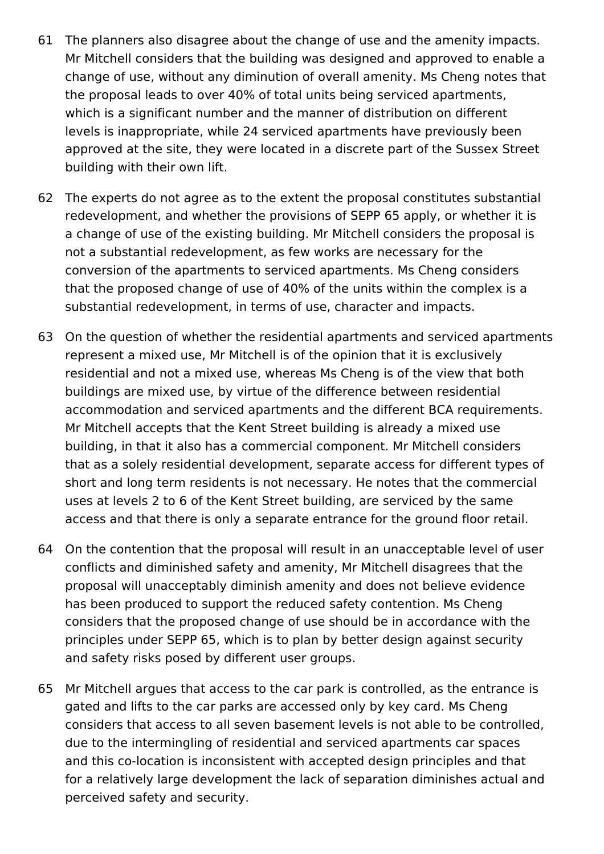- 61 The planners also disagree about the change of use and the amenity impacts. Mr Mitchell considers that the building was designed and approved to enable a change of use, without any diminution of overall amenity. Ms Cheng notes that the proposal leads to over 40% of total units being serviced apartments, which is a significant number and the manner of distribution on different levels is inappropriate, while 24 serviced apartments have previously been approved at the site, they were located in a discrete part of the Sussex Street building with their own lift.
- 62 The experts do not agree as to the extent the proposal constitutes substantial redevelopment, and whether the provisions of SEPP 65 apply, or whether it is a change of use of the existing building. Mr Mitchell considers the proposal is not a substantial redevelopment, as few works are necessary for the conversion of the apartments to serviced apartments. Ms Cheng considers that the proposed change of use of 40% of the units within the complex is a substantial redevelopment, in terms of use, character and impacts.
- 63 On the question of whether the residential apartments and serviced apartments represent a mixed use, Mr Mitchell is of the opinion that it is exclusively residential and not a mixed use, whereas Ms Cheng is of the view that both buildings are mixed use, by virtue of the difference between residential accommodation and serviced apartments and the different BCA requirements. Mr Mitchell accepts that the Kent Street building is already a mixed use building, in that it also has a commercial component. Mr Mitchell considers that as a solely residential development, separate access for different types of short and long term residents is not necessary. He notes that the commercial uses at levels 2 to 6 of the Kent Street building, are serviced by the same access and that there is only a separate entrance for the ground floor retail.
- 64 On the contention that the proposal will result in an unacceptable level of user conflicts and diminished safety and amenity, Mr Mitchell disagrees that the proposal will unacceptably diminish amenity and does not believe evidence has been produced to support the reduced safety contention. Ms Cheng considers that the proposed change of use should be in accordance with the principles under SEPP 65, which is to plan by better design against security and safety risks posed by different user groups.
- 65 Mr Mitchell argues that access to the car park is controlled, as the entrance is gated and lifts to the car parks are accessed only by key card. Ms Cheng considers that access to all seven basement levels is not able to be controlled, due to the intermingling of residential and serviced apartments car spaces and this co-location is inconsistent with accepted design principles and that for a relatively large development the lack of separation diminishes actual and perceived safety and security.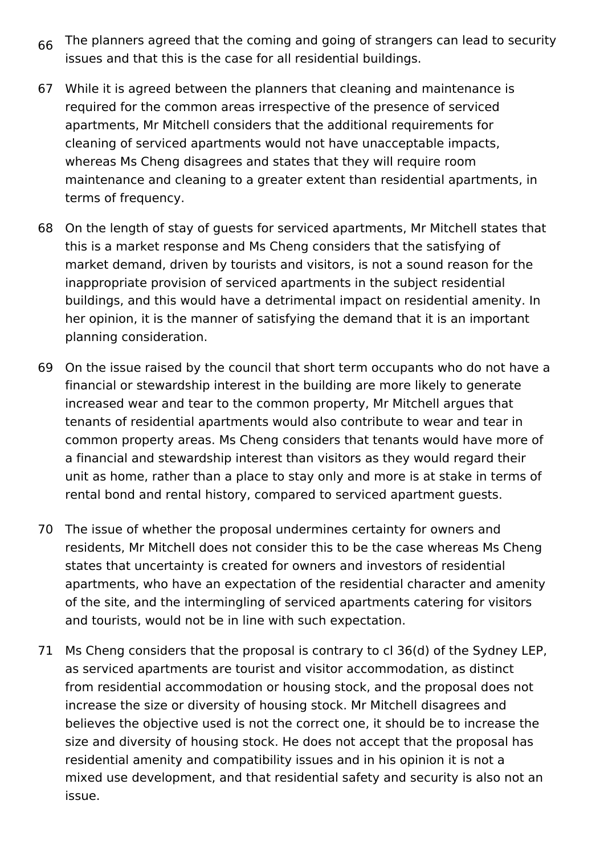- 66 The planners agreed that the coming and going of strangers can lead to security issues and that this is the case for all residential buildings.
- 67 While it is agreed between the planners that cleaning and maintenance is required for the common areas irrespective of the presence of serviced apartments, Mr Mitchell considers that the additional requirements for cleaning of serviced apartments would not have unacceptable impacts, whereas Ms Cheng disagrees and states that they will require room maintenance and cleaning to a greater extent than residential apartments, in terms of frequency.
- 68 On the length of stay of guests for serviced apartments, Mr Mitchell states that this is a market response and Ms Cheng considers that the satisfying of market demand, driven by tourists and visitors, is not a sound reason for the inappropriate provision of serviced apartments in the subject residential buildings, and this would have a detrimental impact on residential amenity. In her opinion, it is the manner of satisfying the demand that it is an important planning consideration.
- 69 On the issue raised by the council that short term occupants who do not have a financial or stewardship interest in the building are more likely to generate increased wear and tear to the common property, Mr Mitchell argues that tenants of residential apartments would also contribute to wear and tear in common property areas. Ms Cheng considers that tenants would have more of a financial and stewardship interest than visitors as they would regard their unit as home, rather than a place to stay only and more is at stake in terms of rental bond and rental history, compared to serviced apartment guests.
- 70 The issue of whether the proposal undermines certainty for owners and residents, Mr Mitchell does not consider this to be the case whereas Ms Cheng states that uncertainty is created for owners and investors of residential apartments, who have an expectation of the residential character and amenity of the site, and the intermingling of serviced apartments catering for visitors and tourists, would not be in line with such expectation.
- 71 Ms Cheng considers that the proposal is contrary to cl 36(d) of the Sydney LEP, as serviced apartments are tourist and visitor accommodation, as distinct from residential accommodation or housing stock, and the proposal does not increase the size or diversity of housing stock. Mr Mitchell disagrees and believes the objective used is not the correct one, it should be to increase the size and diversity of housing stock. He does not accept that the proposal has residential amenity and compatibility issues and in his opinion it is not a mixed use development, and that residential safety and security is also not an issue.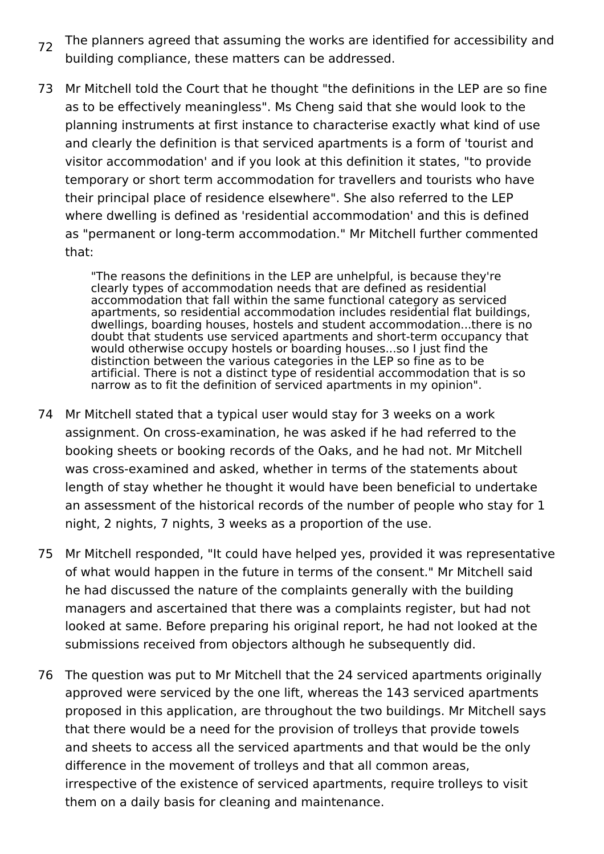- 72 The planners agreed that assuming the works are identified for accessibility and building compliance, these matters can be addressed.
- 73 Mr Mitchell told the Court that he thought "the definitions in the LEP are so fine as to be effectively meaningless". Ms Cheng said that she would look to the planning instruments at first instance to characterise exactly what kind of use and clearly the definition is that serviced apartments is a form of 'tourist and visitor accommodation' and if you look at this definition it states, "to provide temporary or short term accommodation for travellers and tourists who have their principal place of residence elsewhere". She also referred to the LEP where dwelling is defined as 'residential accommodation' and this is defined as "permanent or long-term accommodation." Mr Mitchell further commented that:

"The reasons the definitions in the LEP are unhelpful, is because they're clearly types of accommodation needs that are defined as residential accommodation that fall within the same functional category as serviced apartments, so residential accommodation includes residential flat buildings, dwellings, boarding houses, hostels and student accommodation...there is no doubt that students use serviced apartments and short-term occupancy that would otherwise occupy hostels or boarding houses...so I just find the distinction between the various categories in the LEP so fine as to be artificial. There is not a distinct type of residential accommodation that is so narrow as to fit the definition of serviced apartments in my opinion".

- 74 Mr Mitchell stated that a typical user would stay for 3 weeks on a work assignment. On cross-examination, he was asked if he had referred to the booking sheets or booking records of the Oaks, and he had not. Mr Mitchell was cross-examined and asked, whether in terms of the statements about length of stay whether he thought it would have been beneficial to undertake an assessment of the historical records of the number of people who stay for 1 night, 2 nights, 7 nights, 3 weeks as a proportion of the use.
- 75 Mr Mitchell responded, "It could have helped yes, provided it was representative of what would happen in the future in terms of the consent." Mr Mitchell said he had discussed the nature of the complaints generally with the building managers and ascertained that there was a complaints register, but had not looked at same. Before preparing his original report, he had not looked at the submissions received from objectors although he subsequently did.
- 76 The question was put to Mr Mitchell that the 24 serviced apartments originally approved were serviced by the one lift, whereas the 143 serviced apartments proposed in this application, are throughout the two buildings. Mr Mitchell says that there would be a need for the provision of trolleys that provide towels and sheets to access all the serviced apartments and that would be the only difference in the movement of trolleys and that all common areas, irrespective of the existence of serviced apartments, require trolleys to visit them on a daily basis for cleaning and maintenance.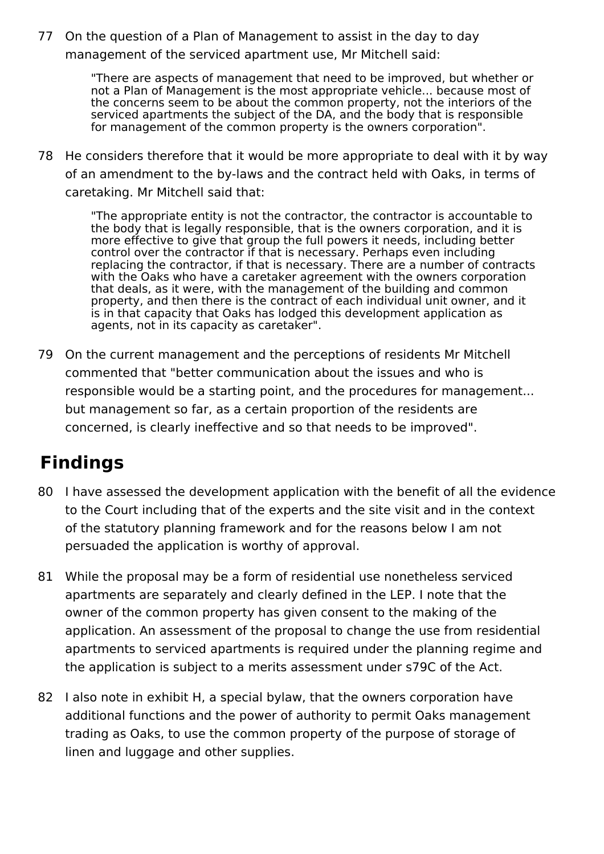77 On the question of a Plan of Management to assist in the day to day management of the serviced apartment use, Mr Mitchell said:

> "There are aspects of management that need to be improved, but whether or not a Plan of Management is the most appropriate vehicle... because most of the concerns seem to be about the common property, not the interiors of the serviced apartments the subject of the DA, and the body that is responsible for management of the common property is the owners corporation".

78 He considers therefore that it would be more appropriate to deal with it by way of an amendment to the by-laws and the contract held with Oaks, in terms of caretaking. Mr Mitchell said that:

"The appropriate entity is not the contractor, the contractor is accountable to the body that is legally responsible, that is the owners corporation, and it is more effective to give that group the full powers it needs, including better control over the contractor if that is necessary. Perhaps even including replacing the contractor, if that is necessary. There are a number of contracts with the Oaks who have a caretaker agreement with the owners corporation that deals, as it were, with the management of the building and common property, and then there is the contract of each individual unit owner, and it is in that capacity that Oaks has lodged this development application as agents, not in its capacity as caretaker".

79 On the current management and the perceptions of residents Mr Mitchell commented that "better communication about the issues and who is responsible would be a starting point, and the procedures for management... but management so far, as a certain proportion of the residents are concerned, is clearly ineffective and so that needs to be improved".

## **Findings**

- 80 I have assessed the development application with the benefit of all the evidence to the Court including that of the experts and the site visit and in the context of the statutory planning framework and for the reasons below I am not persuaded the application is worthy of approval.
- 81 While the proposal may be a form of residential use nonetheless serviced apartments are separately and clearly defined in the LEP. I note that the owner of the common property has given consent to the making of the application. An assessment of the proposal to change the use from residential apartments to serviced apartments is required under the planning regime and the application is subject to a merits assessment under s79C of the Act.
- 82 I also note in exhibit H, a special bylaw, that the owners corporation have additional functions and the power of authority to permit Oaks management trading as Oaks, to use the common property of the purpose of storage of linen and luggage and other supplies.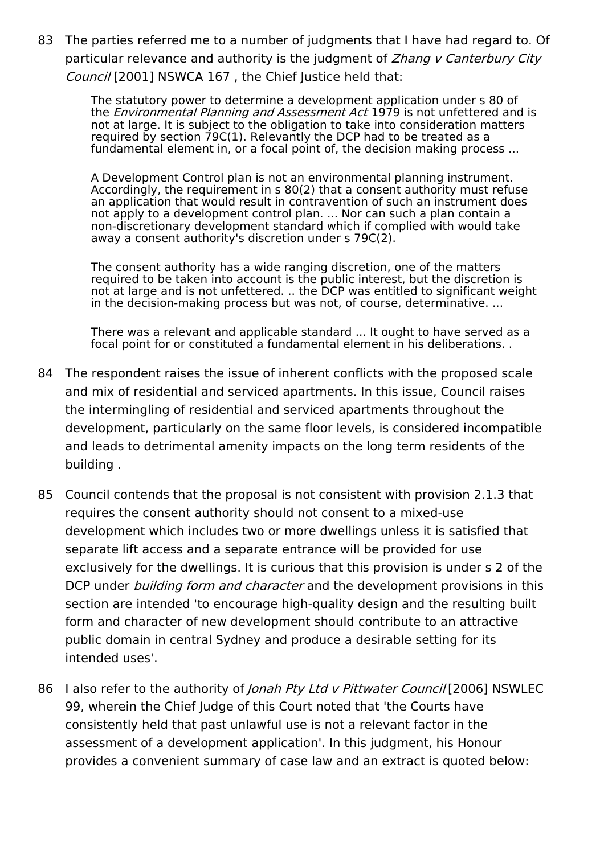83 The parties referred me to a number of judgments that I have had regard to. Of particular relevance and authority is the judgment of Zhang v Canterbury City Council [2001] NSWCA 167, the Chief Justice held that:

> The statutory power to determine a development application under s 80 of the *Environmental Planning and Assessment Act* 1979 is not unfettered and is not at large. It is subject to the obligation to take into consideration matters required by section 79C(1). Relevantly the DCP had to be treated as a fundamental element in, or a focal point of, the decision making process ...

A Development Control plan is not an environmental planning instrument. Accordingly, the requirement in s 80(2) that a consent authority must refuse an application that would result in contravention of such an instrument does not apply to a development control plan. ... Nor can such a plan contain a non-discretionary development standard which if complied with would take away a consent authority's discretion under s 79C(2).

The consent authority has a wide ranging discretion, one of the matters required to be taken into account is the public interest, but the discretion is not at large and is not unfettered. .. the DCP was entitled to significant weight in the decision-making process but was not, of course, determinative. ...

There was a relevant and applicable standard ... It ought to have served as a focal point for or constituted a fundamental element in his deliberations. .

- 84 The respondent raises the issue of inherent conflicts with the proposed scale and mix of residential and serviced apartments. In this issue, Council raises the intermingling of residential and serviced apartments throughout the development, particularly on the same floor levels, is considered incompatible and leads to detrimental amenity impacts on the long term residents of the building .
- 85 Council contends that the proposal is not consistent with provision 2.1.3 that requires the consent authority should not consent to a mixed-use development which includes two or more dwellings unless it is satisfied that separate lift access and a separate entrance will be provided for use exclusively for the dwellings. It is curious that this provision is under s 2 of the DCP under *building form and character* and the development provisions in this section are intended 'to encourage high-quality design and the resulting built form and character of new development should contribute to an attractive public domain in central Sydney and produce a desirable setting for its intended uses'.
- 86 I also refer to the authority of *Jonah Pty Ltd v Pittwater Council* [2006] NSWLEC 99, wherein the Chief Judge of this Court noted that 'the Courts have consistently held that past unlawful use is not a relevant factor in the assessment of a development application'. In this judgment, his Honour provides a convenient summary of case law and an extract is quoted below: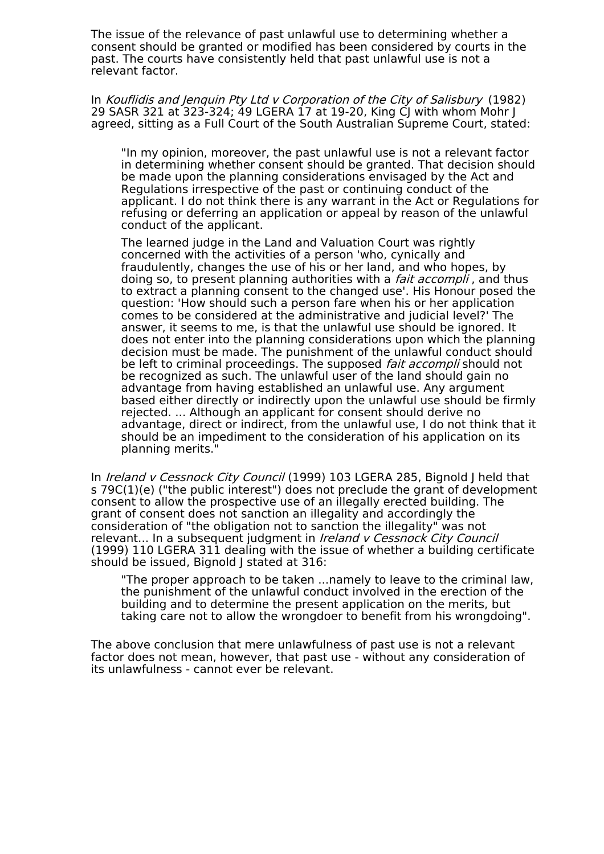The issue of the relevance of past unlawful use to determining whether a consent should be granted or modified has been considered by courts in the past. The courts have consistently held that past unlawful use is not a relevant factor.

In Kouflidis and Jenquin Pty Ltd <sup>v</sup> Corporation of the City of Salisbury (1982) 29 SASR 321 at 323-324; 49 LGERA 17 at 19-20, King CJ with whom Mohr J agreed, sitting as a Full Court of the South Australian Supreme Court, stated:

"In my opinion, moreover, the past unlawful use is not a relevant factor in determining whether consent should be granted. That decision should be made upon the planning considerations envisaged by the Act and Regulations irrespective of the past or continuing conduct of the applicant. I do not think there is any warrant in the Act or Regulations for refusing or deferring an application or appeal by reason of the unlawful conduct of the applicant.

The learned judge in the Land and Valuation Court was rightly concerned with the activities of a person 'who, cynically and fraudulently, changes the use of his or her land, and who hopes, by doing so, to present planning authorities with a *fait accompli*, and thus to extract a planning consent to the changed use'. His Honour posed the question: 'How should such a person fare when his or her application comes to be considered at the administrative and judicial level?' The answer, it seems to me, is that the unlawful use should be ignored. It does not enter into the planning considerations upon which the planning decision must be made. The punishment of the unlawful conduct should be left to criminal proceedings. The supposed *fait accompli* should not be recognized as such. The unlawful user of the land should gain no advantage from having established an unlawful use. Any argument based either directly or indirectly upon the unlawful use should be firmly rejected. ... Although an applicant for consent should derive no advantage, direct or indirect, from the unlawful use, I do not think that it should be an impediment to the consideration of his application on its planning merits."

In *Ireland v Cessnock City Council* (1999) 103 LGERA 285, Bignold I held that s 79C(1)(e) ("the public interest") does not preclude the grant of development consent to allow the prospective use of an illegally erected building. The grant of consent does not sanction an illegality and accordingly the consideration of "the obligation not to sanction the illegality" was not relevant... In a subsequent judgment in *Ireland v Cessnock City Council* (1999) 110 LGERA 311 dealing with the issue of whether a building certificate should be issued, Bignold J stated at 316:

"The proper approach to be taken ...namely to leave to the criminal law, the punishment of the unlawful conduct involved in the erection of the building and to determine the present application on the merits, but taking care not to allow the wrongdoer to benefit from his wrongdoing".

The above conclusion that mere unlawfulness of past use is not a relevant factor does not mean, however, that past use - without any consideration of its unlawfulness - cannot ever be relevant.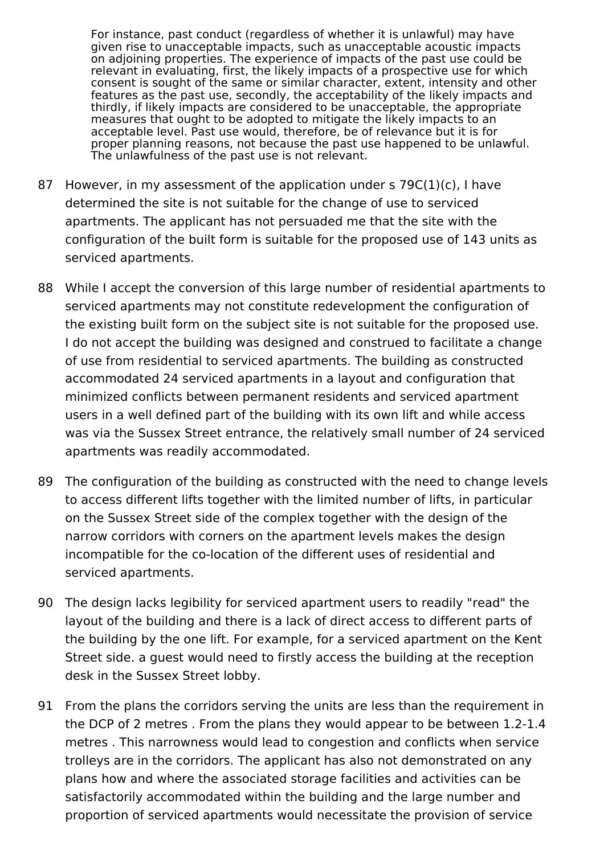For instance, past conduct (regardless of whether it is unlawful) may have given rise to unacceptable impacts, such as unacceptable acoustic impacts on adjoining properties. The experience of impacts of the past use could be relevant in evaluating, first, the likely impacts of a prospective use for which consent is sought of the same or similar character, extent, intensity and other features as the past use, secondly, the acceptability of the likely impacts and thirdly, if likely impacts are considered to be unacceptable, the appropriate measures that ought to be adopted to mitigate the likely impacts to an acceptable level. Past use would, therefore, be of relevance but it is for proper planning reasons, not because the past use happened to be unlawful. The unlawfulness of the past use is not relevant.

- 87 However, in my assessment of the application under s 79C(1)(c), I have determined the site is not suitable for the change of use to serviced apartments. The applicant has not persuaded me that the site with the configuration of the built form is suitable for the proposed use of 143 units as serviced apartments.
- 88 While I accept the conversion of this large number of residential apartments to serviced apartments may not constitute redevelopment the configuration of the existing built form on the subject site is not suitable for the proposed use. I do not accept the building was designed and construed to facilitate a change of use from residential to serviced apartments. The building as constructed accommodated 24 serviced apartments in a layout and configuration that minimized conflicts between permanent residents and serviced apartment users in a well defined part of the building with its own lift and while access was via the Sussex Street entrance, the relatively small number of 24 serviced apartments was readily accommodated.
- 89 The configuration of the building as constructed with the need to change levels to access different lifts together with the limited number of lifts, in particular on the Sussex Street side of the complex together with the design of the narrow corridors with corners on the apartment levels makes the design incompatible for the co-location of the different uses of residential and serviced apartments.
- 90 The design lacks legibility for serviced apartment users to readily "read" the layout of the building and there is a lack of direct access to different parts of the building by the one lift. For example, for a serviced apartment on the Kent Street side. a guest would need to firstly access the building at the reception desk in the Sussex Street lobby.
- 91 From the plans the corridors serving the units are less than the requirement in the DCP of 2 metres . From the plans they would appear to be between 1.2-1.4 metres . This narrowness would lead to congestion and conflicts when service trolleys are in the corridors. The applicant has also not demonstrated on any plans how and where the associated storage facilities and activities can be satisfactorily accommodated within the building and the large number and proportion of serviced apartments would necessitate the provision of service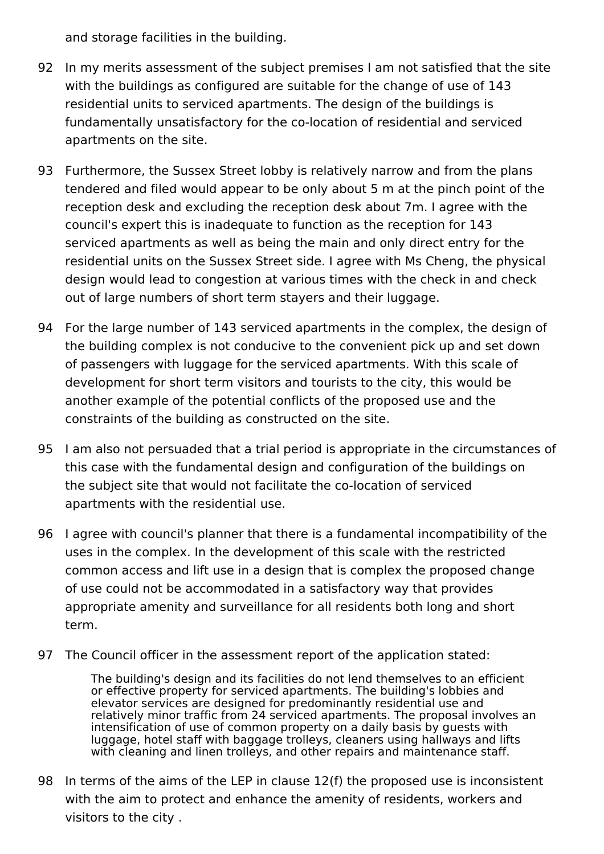and storage facilities in the building.

- 92 In my merits assessment of the subject premises I am not satisfied that the site with the buildings as configured are suitable for the change of use of 143 residential units to serviced apartments. The design of the buildings is fundamentally unsatisfactory for the co-location of residential and serviced apartments on the site.
- 93 Furthermore, the Sussex Street lobby is relatively narrow and from the plans tendered and filed would appear to be only about 5 m at the pinch point of the reception desk and excluding the reception desk about 7m. I agree with the council's expert this is inadequate to function as the reception for 143 serviced apartments as well as being the main and only direct entry for the residential units on the Sussex Street side. I agree with Ms Cheng, the physical design would lead to congestion at various times with the check in and check out of large numbers of short term stayers and their luggage.
- 94 For the large number of 143 serviced apartments in the complex, the design of the building complex is not conducive to the convenient pick up and set down of passengers with luggage for the serviced apartments. With this scale of development for short term visitors and tourists to the city, this would be another example of the potential conflicts of the proposed use and the constraints of the building as constructed on the site.
- 95 I am also not persuaded that a trial period is appropriate in the circumstances of this case with the fundamental design and configuration of the buildings on the subject site that would not facilitate the co-location of serviced apartments with the residential use.
- 96 I agree with council's planner that there is a fundamental incompatibility of the uses in the complex. In the development of this scale with the restricted common access and lift use in a design that is complex the proposed change of use could not be accommodated in a satisfactory way that provides appropriate amenity and surveillance for all residents both long and short term.
- 97 The Council officer in the assessment report of the application stated:

The building's design and its facilities do not lend themselves to an efficient or effective property for serviced apartments. The building's lobbies and elevator services are designed for predominantly residential use and relatively minor traffic from 24 serviced apartments. The proposal involves an intensification of use of common property on a daily basis by guests with luggage, hotel staff with baggage trolleys, cleaners using hallways and lifts with cleaning and linen trolleys, and other repairs and maintenance staff.

98 In terms of the aims of the LEP in clause 12(f) the proposed use is inconsistent with the aim to protect and enhance the amenity of residents, workers and visitors to the city .